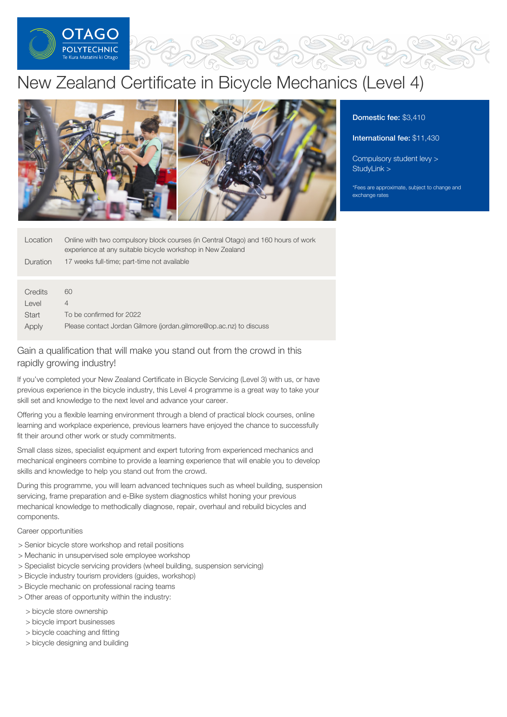

# New Zealand Certificate in Bicycle Mechanics (Level 4)



Location Duration  $C$ redite Online with two compulsory block courses (in Central Otago) and 160 hours of work experience at any suitable bicycle workshop in New Zealand 17 weeks full-time; part-time not available  $\sim$ 

| <u>UI GUITO</u> | $\cdots$                                                           |
|-----------------|--------------------------------------------------------------------|
| Level           |                                                                    |
| Start           | To be confirmed for 2022                                           |
| Apply           | Please contact Jordan Gilmore (jordan.gilmore@op.ac.nz) to discuss |

# Gain a qualification that will make you stand out from the crowd in this rapidly growing industry!

If you've completed your New Zealand Certificate in Bicycle Servicing (Level 3) with us, or have previous experience in the bicycle industry, this Level 4 programme is a great way to take your skill set and knowledge to the next level and advance your career.

Offering you a flexible learning environment through a blend of practical block courses, online learning and workplace experience, previous learners have enjoyed the chance to successfully fit their around other work or study commitments.

Small class sizes, specialist equipment and expert tutoring from experienced mechanics and mechanical engineers combine to provide a learning experience that will enable you to develop skills and knowledge to help you stand out from the crowd.

During this programme, you will learn advanced techniques such as wheel building, suspension servicing, frame preparation and e-Bike system diagnostics whilst honing your previous mechanical knowledge to methodically diagnose, repair, overhaul and rebuild bicycles and components.

Career opportunities

- > Senior bicycle store workshop and retail positions
- > Mechanic in unsupervised sole employee workshop
- > Specialist bicycle servicing providers (wheel building, suspension servicing)
- > Bicycle industry tourism providers (guides, workshop)
- > Bicycle mechanic on professional racing teams
- > Other areas of opportunity within the industry:
	- > bicycle store ownership
	- > bicycle import businesses
	- > bicycle coaching and fitting
	- > bicycle designing and building

# Domestic fee: \$3,410

International fee: \$11,430

[Compulsory](https://online.op.ac.nz/students/important-information/student-services-levy/) student levy > [StudyLink](https://www.studylink.govt.nz/) >

\*Fees are approximate, subject to change and exchange rates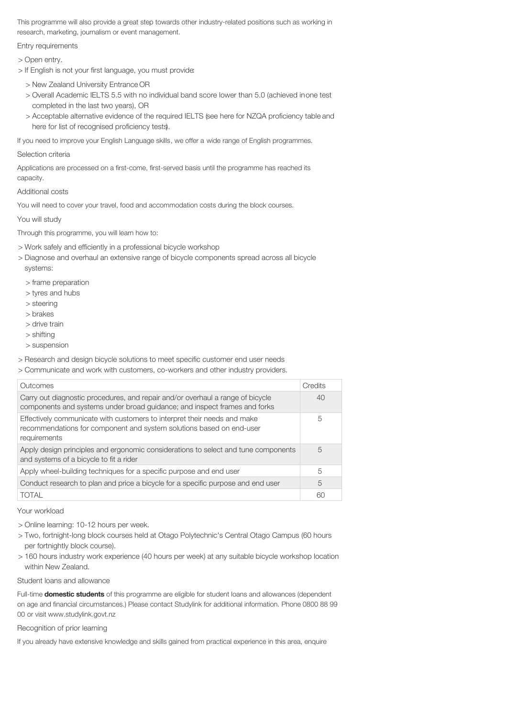This programme will also provide a great step towards other industry-related positions such as working in research, marketing, journalism or event management.

Entry requirements

> Open entry.

- > If English is not your first language, you must provide:
	- > New Zealand University Entrance OR
	- > Overall Academic IELTS 5.5 with no individual band score lower than 5.0 (achieved inone test completed in the last two years), OR
	- > Acceptable alternative evidence of the required IELTS (see here for NZQA proficiency table and here for list of recognised proficiency tests).

If you need to improve your English Language skills, we offer a wide range of English programmes.

#### Selection criteria

Applications are processed on a first-come, first-served basis until the programme has reached its capacity.

#### Additional costs

You will need to cover your travel, food and accommodation costs during the block courses.

## You will study

Through this programme, you will learn how to:

- > Work safely and efficiently in a professional bicycle workshop
- > Diagnose and overhaul an extensive range of bicycle components spread across all bicycle systems:
	- > frame preparation
	- > tyres and hubs
	- > steering
	- > brakes
	- > drive train
	- > shifting
	- > suspension
- > Research and design bicycle solutions to meet specific customer end user needs
- > Communicate and work with customers, co-workers and other industry providers.

| Outcomes                                                                                                                                                         | Credits |
|------------------------------------------------------------------------------------------------------------------------------------------------------------------|---------|
| Carry out diagnostic procedures, and repair and/or overhaul a range of bicycle<br>components and systems under broad guidance; and inspect frames and forks      | 40      |
| Effectively communicate with customers to interpret their needs and make<br>recommendations for component and system solutions based on end-user<br>requirements | 5       |
| Apply design principles and ergonomic considerations to select and tune components<br>and systems of a bicycle to fit a rider                                    | 5       |
| Apply wheel-building techniques for a specific purpose and end user                                                                                              | 5       |
| Conduct research to plan and price a bicycle for a specific purpose and end user                                                                                 |         |
| <b>TOTAL</b>                                                                                                                                                     | 60      |

#### Your workload

- > Online learning: 10-12 hours per week.
- > Two, fortnight-long block courses held at Otago Polytechnic's Central Otago Campus (60 hours per fortnightly block course).
- > 160 hours industry work experience (40 hours per week) at any suitable bicycle workshop location within New Zealand.

#### Student loans and allowance

Full-time **domestic students** of this programme are eligible for student loans and allowances (dependent on age and financial circumstances.) Please contact Studylink for additional information. Phone 0800 88 99 00 or visit www.studylink.govt.nz

## Recognition of prior learning

If you already have extensive knowledge and skills gained from practical experience in this area, enquire